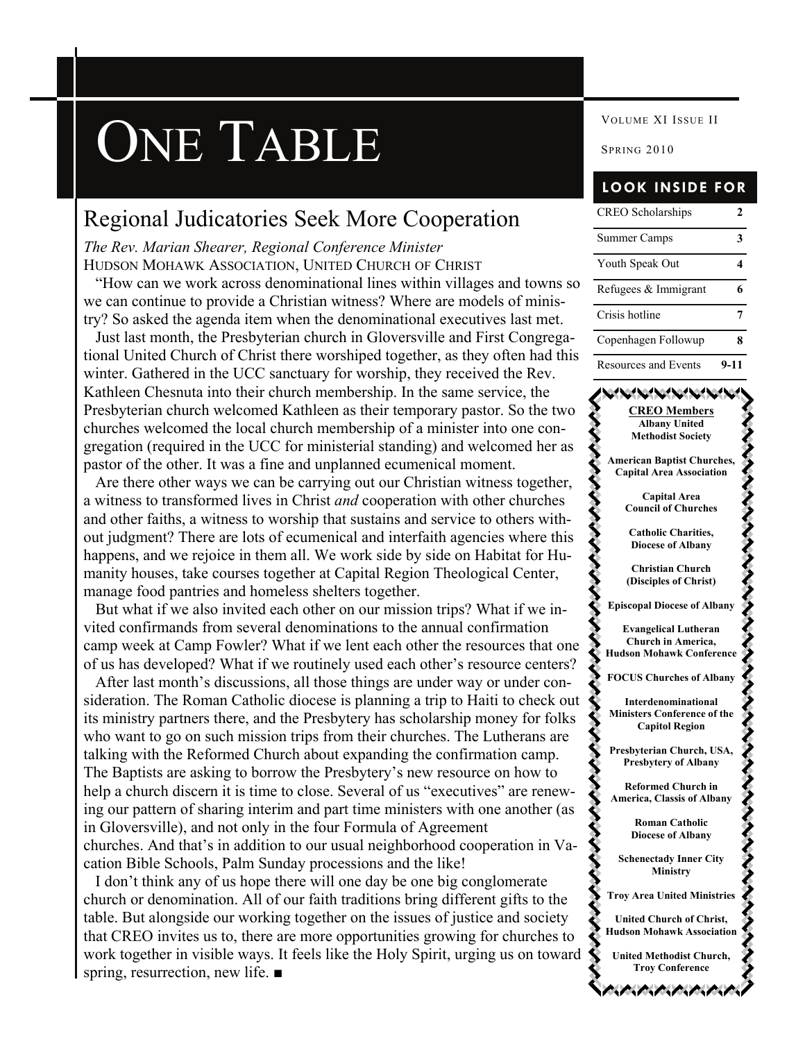# **ONE TABLE** SPRING 2010

### Regional Judicatories Seek More Cooperation

*The Rev. Marian Shearer, Regional Conference Minister*  HUDSON MOHAWK ASSOCIATION, UNITED CHURCH OF CHRIST

 "How can we work across denominational lines within villages and towns so we can continue to provide a Christian witness? Where are models of ministry? So asked the agenda item when the denominational executives last met.

 Just last month, the Presbyterian church in Gloversville and First Congregational United Church of Christ there worshiped together, as they often had this winter. Gathered in the UCC sanctuary for worship, they received the Rev. Kathleen Chesnuta into their church membership. In the same service, the Presbyterian church welcomed Kathleen as their temporary pastor. So the two churches welcomed the local church membership of a minister into one congregation (required in the UCC for ministerial standing) and welcomed her as pastor of the other. It was a fine and unplanned ecumenical moment.

 Are there other ways we can be carrying out our Christian witness together, a witness to transformed lives in Christ *and* cooperation with other churches and other faiths, a witness to worship that sustains and service to others without judgment? There are lots of ecumenical and interfaith agencies where this happens, and we rejoice in them all. We work side by side on Habitat for Humanity houses, take courses together at Capital Region Theological Center, manage food pantries and homeless shelters together.

 But what if we also invited each other on our mission trips? What if we invited confirmands from several denominations to the annual confirmation camp week at Camp Fowler? What if we lent each other the resources that one of us has developed? What if we routinely used each other's resource centers?

 After last month's discussions, all those things are under way or under consideration. The Roman Catholic diocese is planning a trip to Haiti to check out its ministry partners there, and the Presbytery has scholarship money for folks who want to go on such mission trips from their churches. The Lutherans are talking with the Reformed Church about expanding the confirmation camp. The Baptists are asking to borrow the Presbytery's new resource on how to help a church discern it is time to close. Several of us "executives" are renewing our pattern of sharing interim and part time ministers with one another (as in Gloversville), and not only in the four Formula of Agreement churches. And that's in addition to our usual neighborhood cooperation in Vacation Bible Schools, Palm Sunday processions and the like!

 I don't think any of us hope there will one day be one big conglomerate church or denomination. All of our faith traditions bring different gifts to the table. But alongside our working together on the issues of justice and society that CREO invites us to, there are more opportunities growing for churches to work together in visible ways. It feels like the Holy Spirit, urging us on toward spring, resurrection, new life. ■

### **LOOK INSIDE FOR**

| <b>CREO</b> Scholarships |      |
|--------------------------|------|
| Summer Camps             |      |
| Youth Speak Out          |      |
| Refugees & Immigrant     |      |
| Crisis hotline           |      |
| Copenhagen Followup      |      |
| Resources and Events     | 9-11 |

### **CREO Members Albany United Methodist Society American Baptist Churches, Capital Area Association Capital Area Council of Churches Catholic Charities, Diocese of Albany Christian Church (Disciples of Christ) Episcopal Diocese of Albany Evangelical Lutheran Church in America, Hudson Mohawk Conference FOCUS Churches of Albany Interdenominational Ministers Conference of the Capitol Region Presbyterian Church, USA, Presbytery of Albany Reformed Church in America, Classis of Albany Roman Catholic Diocese of Albany Schenectady Inner City Ministry Troy Area United Ministries United Church of Christ, Hudson Mohawk Association United Methodist Church, Troy Conference**  ハイバハハバ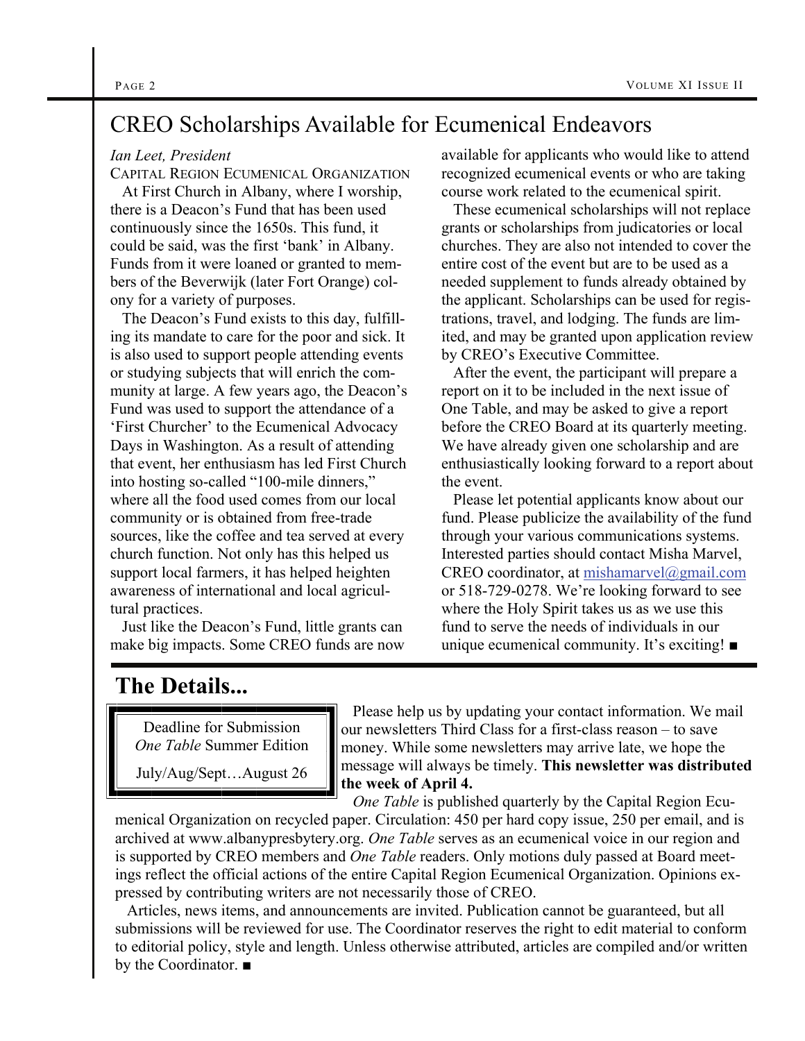### CREO Scholarships Available for Ecumenical Endeavors

### *Ian Leet, President*

CAPITAL REGION ECUMENICAL ORGANIZATION

 At First Church in Albany, where I worship, there is a Deacon's Fund that has been used continuously since the 1650s. This fund, it could be said, was the first 'bank' in Albany. Funds from it were loaned or granted to members of the Beverwijk (later Fort Orange) colony for a variety of purposes.

 The Deacon's Fund exists to this day, fulfilling its mandate to care for the poor and sick. It is also used to support people attending events or studying subjects that will enrich the community at large. A few years ago, the Deacon's Fund was used to support the attendance of a 'First Churcher' to the Ecumenical Advocacy Days in Washington. As a result of attending that event, her enthusiasm has led First Church into hosting so-called "100-mile dinners," where all the food used comes from our local community or is obtained from free-trade sources, like the coffee and tea served at every church function. Not only has this helped us support local farmers, it has helped heighten awareness of international and local agricultural practices.

 Just like the Deacon's Fund, little grants can make big impacts. Some CREO funds are now available for applicants who would like to attend recognized ecumenical events or who are taking course work related to the ecumenical spirit.

 These ecumenical scholarships will not replace grants or scholarships from judicatories or local churches. They are also not intended to cover the entire cost of the event but are to be used as a needed supplement to funds already obtained by the applicant. Scholarships can be used for registrations, travel, and lodging. The funds are limited, and may be granted upon application review by CREO's Executive Committee.

 After the event, the participant will prepare a report on it to be included in the next issue of One Table, and may be asked to give a report before the CREO Board at its quarterly meeting. We have already given one scholarship and are enthusiastically looking forward to a report about the event.

 Please let potential applicants know about our fund. Please publicize the availability of the fund through your various communications systems. Interested parties should contact Misha Marvel, CREO coordinator, at [mishamarvel@gmail.com](mailto:mishamarvel@gmail.com) or 518-729-0278. We're looking forward to see where the Holy Spirit takes us as we use this fund to serve the needs of individuals in our unique ecumenical community. It's exciting! ■

### **The Details...**

Deadline for Submission *One Table* Summer Edition

July/Aug/Sept…August 26

 Please help us by updating your contact information. We mail our newsletters Third Class for a first-class reason – to save money. While some newsletters may arrive late, we hope the message will always be timely. **This newsletter was distributed the week of April 4.**

 *One Table* is published quarterly by the Capital Region Ecumenical Organization on recycled paper. Circulation: 450 per hard copy issue, 250 per email, and is archived at www.albanypresbytery.org. *One Table* serves as an ecumenical voice in our region and is supported by CREO members and *One Table* readers. Only motions duly passed at Board meetings reflect the official actions of the entire Capital Region Ecumenical Organization. Opinions expressed by contributing writers are not necessarily those of CREO.

 Articles, news items, and announcements are invited. Publication cannot be guaranteed, but all submissions will be reviewed for use. The Coordinator reserves the right to edit material to conform to editorial policy, style and length. Unless otherwise attributed, articles are compiled and/or written by the Coordinator. ■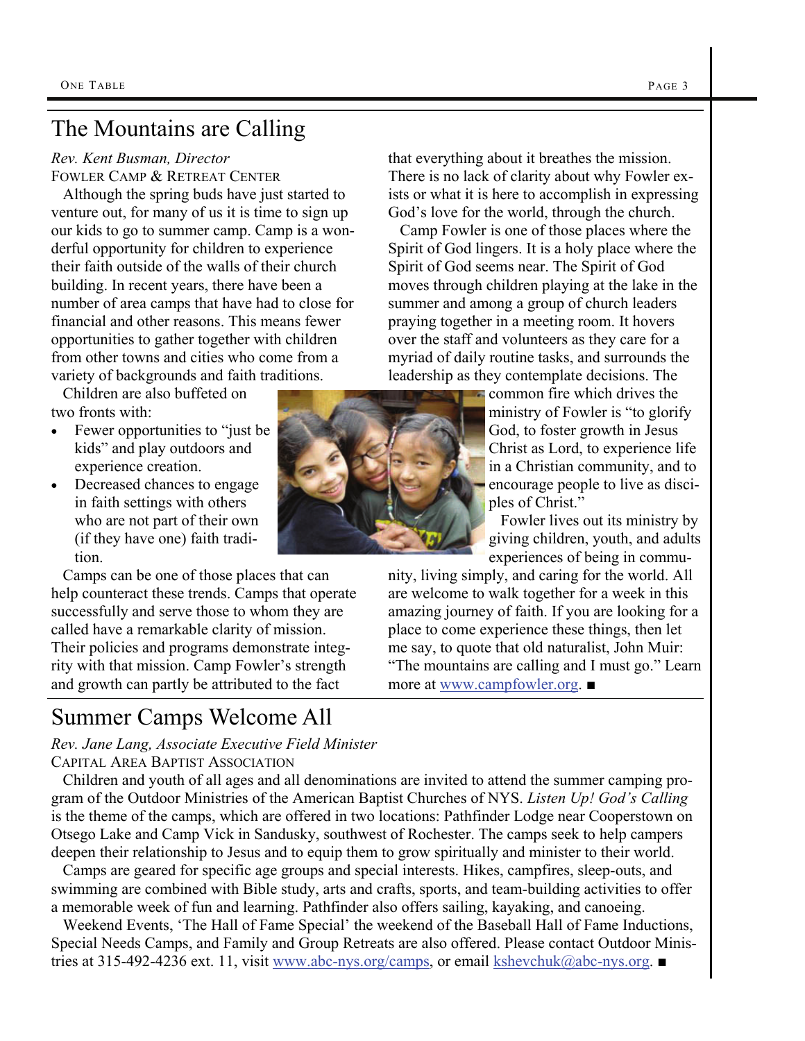# The Mountains are Calling

*Rev. Kent Busman, Director*  FOWLER CAMP & RETREAT CENTER

 Although the spring buds have just started to venture out, for many of us it is time to sign up our kids to go to summer camp. Camp is a wonderful opportunity for children to experience their faith outside of the walls of their church building. In recent years, there have been a number of area camps that have had to close for financial and other reasons. This means fewer opportunities to gather together with children from other towns and cities who come from a variety of backgrounds and faith traditions.

 Children are also buffeted on two fronts with:

- Fewer opportunities to "just be kids" and play outdoors and experience creation.
- Decreased chances to engage in faith settings with others who are not part of their own (if they have one) faith tradition.

 Camps can be one of those places that can help counteract these trends. Camps that operate successfully and serve those to whom they are called have a remarkable clarity of mission. Their policies and programs demonstrate integrity with that mission. Camp Fowler's strength and growth can partly be attributed to the fact

# Summer Camps Welcome All

*Rev. Jane Lang, Associate Executive Field Minister*  CAPITAL AREA BAPTIST ASSOCIATION

 Children and youth of all ages and all denominations are invited to attend the summer camping program of the Outdoor Ministries of the American Baptist Churches of NYS. *Listen Up! God's Calling* is the theme of the camps, which are offered in two locations: Pathfinder Lodge near Cooperstown on Otsego Lake and Camp Vick in Sandusky, southwest of Rochester. The camps seek to help campers deepen their relationship to Jesus and to equip them to grow spiritually and minister to their world.

 Camps are geared for specific age groups and special interests. Hikes, campfires, sleep-outs, and swimming are combined with Bible study, arts and crafts, sports, and team-building activities to offer a memorable week of fun and learning. Pathfinder also offers sailing, kayaking, and canoeing.

 Weekend Events, 'The Hall of Fame Special' the weekend of the Baseball Hall of Fame Inductions, Special Needs Camps, and Family and Group Retreats are also offered. Please contact Outdoor Ministries at 315-492-4236 ext. 11, visit [www.abc-nys.org/camps](http://www.abc-nys.org/camps), or email [kshevchuk@abc-nys.org](mailto:kshevchuk@abc-nys.org). ■

that everything about it breathes the mission. There is no lack of clarity about why Fowler exists or what it is here to accomplish in expressing God's love for the world, through the church.

 Camp Fowler is one of those places where the Spirit of God lingers. It is a holy place where the Spirit of God seems near. The Spirit of God moves through children playing at the lake in the summer and among a group of church leaders praying together in a meeting room. It hovers over the staff and volunteers as they care for a myriad of daily routine tasks, and surrounds the leadership as they contemplate decisions. The

> common fire which drives the ministry of Fowler is "to glorify God, to foster growth in Jesus Christ as Lord, to experience life in a Christian community, and to encourage people to live as disciples of Christ."

 Fowler lives out its ministry by giving children, youth, and adults experiences of being in commu-

nity, living simply, and caring for the world. All are welcome to walk together for a week in this amazing journey of faith. If you are looking for a place to come experience these things, then let me say, to quote that old naturalist, John Muir: "The mountains are calling and I must go." Learn more at [www.campfowler.org](http://www.campfowler.org). ■

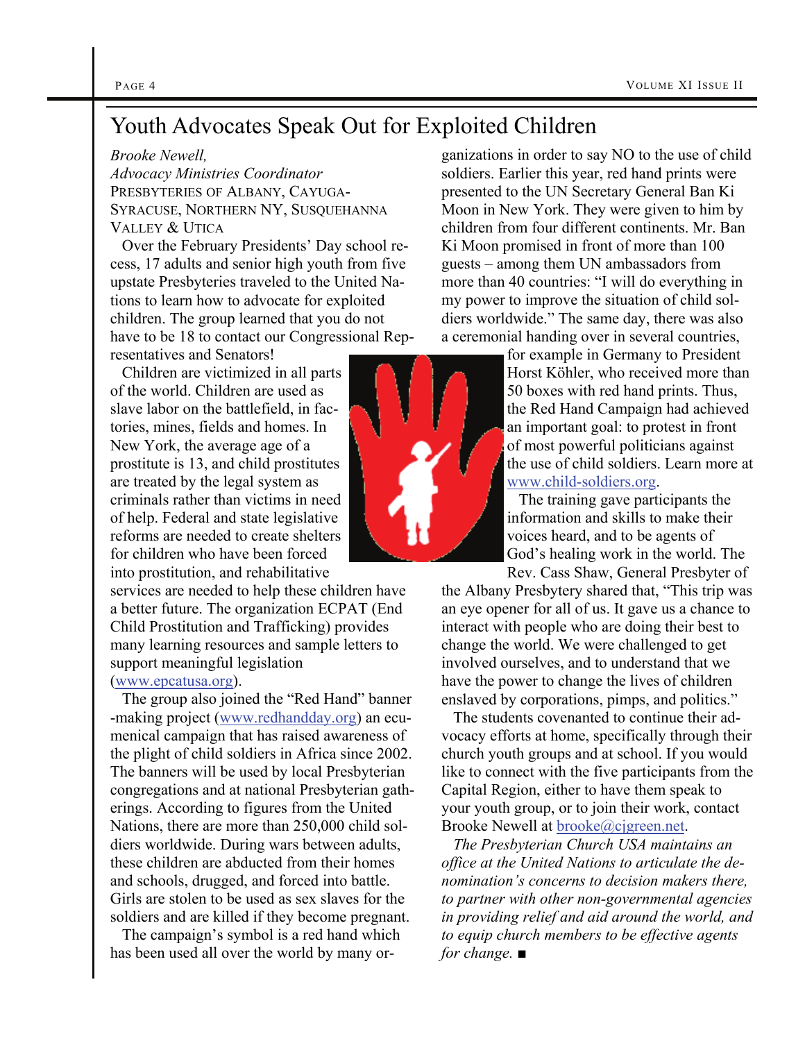## Youth Advocates Speak Out for Exploited Children

### *Brooke Newell,*

*Advocacy Ministries Coordinator* PRESBYTERIES OF ALBANY, CAYUGA-SYRACUSE, NORTHERN NY, SUSQUEHANNA VALLEY & UTICA

 Over the February Presidents' Day school recess, 17 adults and senior high youth from five upstate Presbyteries traveled to the United Nations to learn how to advocate for exploited children. The group learned that you do not have to be 18 to contact our Congressional Representatives and Senators!

 Children are victimized in all parts of the world. Children are used as slave labor on the battlefield, in factories, mines, fields and homes. In New York, the average age of a prostitute is 13, and child prostitutes are treated by the legal system as criminals rather than victims in need of help. Federal and state legislative reforms are needed to create shelters for children who have been forced into prostitution, and rehabilitative

services are needed to help these children have a better future. The organization ECPAT (End Child Prostitution and Trafficking) provides many learning resources and sample letters to support meaningful legislation

### [\(www.epcatusa.org](http://www.epcatusa.org)).

 The group also joined the "Red Hand" banner -making project [\(www.redhandday.org](http://www.redhandday.org)) an ecumenical campaign that has raised awareness of the plight of child soldiers in Africa since 2002. The banners will be used by local Presbyterian congregations and at national Presbyterian gatherings. According to figures from the United Nations, there are more than 250,000 child soldiers worldwide. During wars between adults, these children are abducted from their homes and schools, drugged, and forced into battle. Girls are stolen to be used as sex slaves for the soldiers and are killed if they become pregnant.

 The campaign's symbol is a red hand which has been used all over the world by many or-

ganizations in order to say NO to the use of child soldiers. Earlier this year, red hand prints were presented to the UN Secretary General Ban Ki Moon in New York. They were given to him by children from four different continents. Mr. Ban Ki Moon promised in front of more than 100 guests – among them UN ambassadors from more than 40 countries: "I will do everything in my power to improve the situation of child soldiers worldwide." The same day, there was also a ceremonial handing over in several countries,

for example in Germany to President Horst Köhler, who received more than 50 boxes with red hand prints. Thus, the Red Hand Campaign had achieved an important goal: to protest in front of most powerful politicians against the use of child soldiers. Learn more at [www.child-soldiers.org](http://www.child-soldiers.org).

 The training gave participants the information and skills to make their voices heard, and to be agents of God's healing work in the world. The Rev. Cass Shaw, General Presbyter of

the Albany Presbytery shared that, "This trip was an eye opener for all of us. It gave us a chance to interact with people who are doing their best to change the world. We were challenged to get involved ourselves, and to understand that we have the power to change the lives of children enslaved by corporations, pimps, and politics."

 The students covenanted to continue their advocacy efforts at home, specifically through their church youth groups and at school. If you would like to connect with the five participants from the Capital Region, either to have them speak to your youth group, or to join their work, contact Brooke Newell at [brooke@cjgreen.net](mailto:brooke@cjgreen.net).

 *The Presbyterian Church USA maintains an office at the United Nations to articulate the denomination's concerns to decision makers there, to partner with other non-governmental agencies in providing relief and aid around the world, and to equip church members to be effective agents for change.* ■

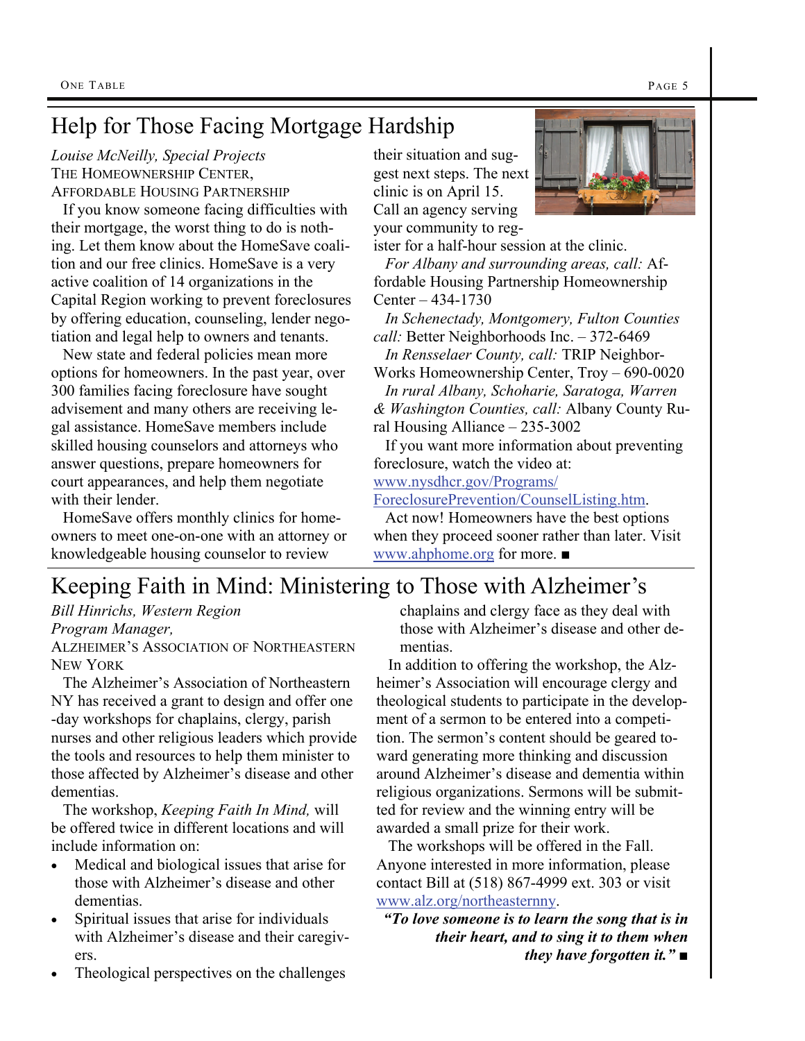# Help for Those Facing Mortgage Hardship

*Louise McNeilly, Special Projects*  THE HOMEOWNERSHIP CENTER. AFFORDABLE HOUSING PARTNERSHIP

 If you know someone facing difficulties with their mortgage, the worst thing to do is nothing. Let them know about the HomeSave coalition and our free clinics. HomeSave is a very active coalition of 14 organizations in the Capital Region working to prevent foreclosures by offering education, counseling, lender negotiation and legal help to owners and tenants.

 New state and federal policies mean more options for homeowners. In the past year, over 300 families facing foreclosure have sought advisement and many others are receiving legal assistance. HomeSave members include skilled housing counselors and attorneys who answer questions, prepare homeowners for court appearances, and help them negotiate with their lender.

 HomeSave offers monthly clinics for homeowners to meet one-on-one with an attorney or knowledgeable housing counselor to review

their situation and suggest next steps. The next clinic is on April 15. Call an agency serving your community to reg-



ister for a half-hour session at the clinic.

 *For Albany and surrounding areas, call:* Affordable Housing Partnership Homeownership Center – 434-1730

 *In Schenectady, Montgomery, Fulton Counties call:* Better Neighborhoods Inc. – 372-6469

 *In Rensselaer County, call:* TRIP Neighbor-Works Homeownership Center, Troy – 690-0020

 *In rural Albany, Schoharie, Saratoga, Warren & Washington Counties, call:* Albany County Rural Housing Alliance – 235-3002

 If you want more information about preventing foreclosure, watch the video at:

[www.nysdhcr.gov/Programs/](http://www.nysdhcr.gov/Programs/ForeclosurePrevention/CounselListing.htm)

[ForeclosurePrevention/CounselListing.htm](http://www.nysdhcr.gov/Programs/ForeclosurePrevention/CounselListing.htm).

 Act now! Homeowners have the best options when they proceed sooner rather than later. Visit [www.ahphome.org](http://www.ahphome.org) for more. ■

# Keeping Faith in Mind: Ministering to Those with Alzheimer's

*Bill Hinrichs, Western Region Program Manager,*

ALZHEIMER'S ASSOCIATION OF NORTHEASTERN NEW YORK

 The Alzheimer's Association of Northeastern NY has received a grant to design and offer one -day workshops for chaplains, clergy, parish nurses and other religious leaders which provide the tools and resources to help them minister to those affected by Alzheimer's disease and other dementias.

 The workshop, *Keeping Faith In Mind,* will be offered twice in different locations and will include information on:

- Medical and biological issues that arise for those with Alzheimer's disease and other dementias.
- Spiritual issues that arise for individuals with Alzheimer's disease and their caregivers.
- Theological perspectives on the challenges

chaplains and clergy face as they deal with those with Alzheimer's disease and other dementias.

 In addition to offering the workshop, the Alzheimer's Association will encourage clergy and theological students to participate in the development of a sermon to be entered into a competition. The sermon's content should be geared toward generating more thinking and discussion around Alzheimer's disease and dementia within religious organizations. Sermons will be submitted for review and the winning entry will be awarded a small prize for their work.

 The workshops will be offered in the Fall. Anyone interested in more information, please contact Bill at (518) 867-4999 ext. 303 or visit [www.alz.org/northeasternny](http://www.alz.org/northeasternny).

*"To love someone is to learn the song that is in their heart, and to sing it to them when they have forgotten it."* ■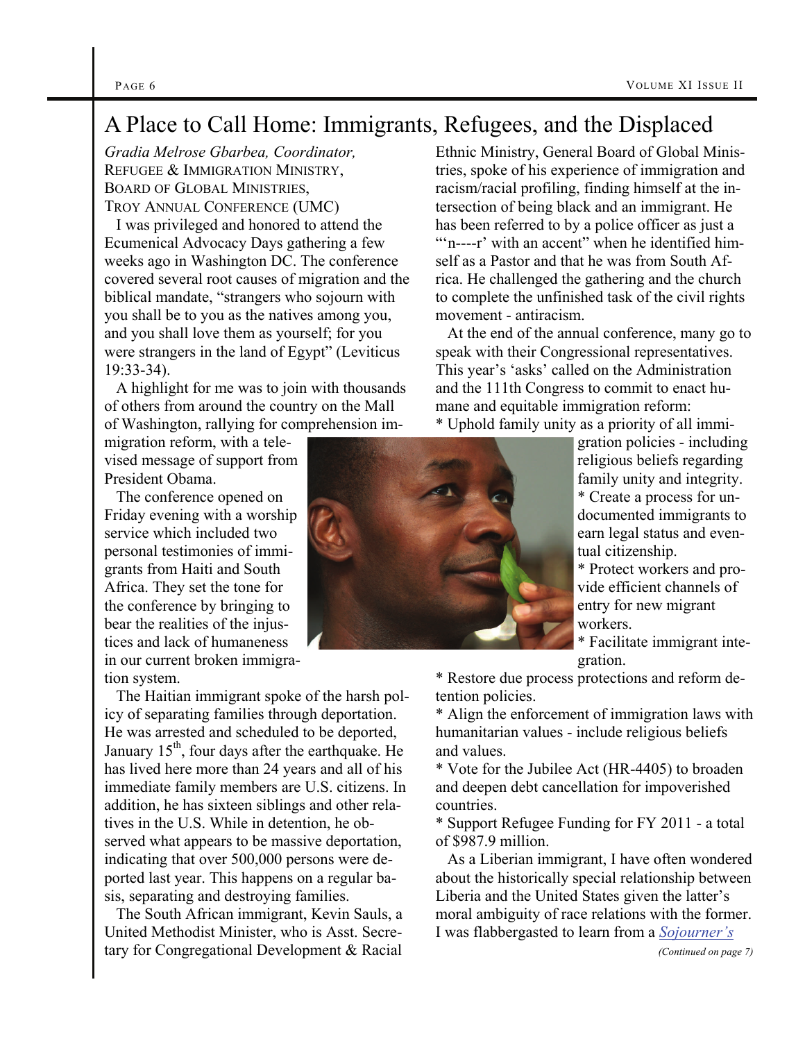# A Place to Call Home: Immigrants, Refugees, and the Displaced

*Gradia Melrose Gbarbea, Coordinator,*  REFUGEE & IMMIGRATION MINISTRY, BOARD OF GLOBAL MINISTRIES, TROY ANNUAL CONFERENCE (UMC)

 I was privileged and honored to attend the Ecumenical Advocacy Days gathering a few weeks ago in Washington DC. The conference covered several root causes of migration and the biblical mandate, "strangers who sojourn with you shall be to you as the natives among you, and you shall love them as yourself; for you were strangers in the land of Egypt" (Leviticus 19:33-34).

 A highlight for me was to join with thousands of others from around the country on the Mall of Washington, rallying for comprehension im-

migration reform, with a televised message of support from President Obama.

 The conference opened on Friday evening with a worship service which included two personal testimonies of immigrants from Haiti and South Africa. They set the tone for the conference by bringing to bear the realities of the injustices and lack of humaneness in our current broken immigration system.

 The Haitian immigrant spoke of the harsh policy of separating families through deportation. He was arrested and scheduled to be deported, January  $15<sup>th</sup>$ , four days after the earthquake. He has lived here more than 24 years and all of his immediate family members are U.S. citizens. In addition, he has sixteen siblings and other relatives in the U.S. While in detention, he observed what appears to be massive deportation, indicating that over 500,000 persons were deported last year. This happens on a regular basis, separating and destroying families.

 The South African immigrant, Kevin Sauls, a United Methodist Minister, who is Asst. Secretary for Congregational Development & Racial

tries, spoke of his experience of immigration and racism/racial profiling, finding himself at the intersection of being black and an immigrant. He has been referred to by a police officer as just a ""n----r' with an accent" when he identified himself as a Pastor and that he was from South Africa. He challenged the gathering and the church to complete the unfinished task of the civil rights movement - antiracism. At the end of the annual conference, many go to

Ethnic Ministry, General Board of Global Minis-

speak with their Congressional representatives. This year's 'asks' called on the Administration and the 111th Congress to commit to enact humane and equitable immigration reform:

\* Uphold family unity as a priority of all immi-

gration policies - including religious beliefs regarding family unity and integrity. \* Create a process for undocumented immigrants to earn legal status and eventual citizenship.

\* Protect workers and provide efficient channels of entry for new migrant workers.

\* Facilitate immigrant integration.

\* Restore due process protections and reform detention policies.

\* Align the enforcement of immigration laws with humanitarian values - include religious beliefs and values.

\* Vote for the Jubilee Act (HR-4405) to broaden and deepen debt cancellation for impoverished countries.

\* Support Refugee Funding for FY 2011 - a total of \$987.9 million.

 As a Liberian immigrant, I have often wondered about the historically special relationship between Liberia and the United States given the latter's moral ambiguity of race relations with the former. I was flabbergasted to learn from a *[Sojourner's](http://www.sojo.net/)*

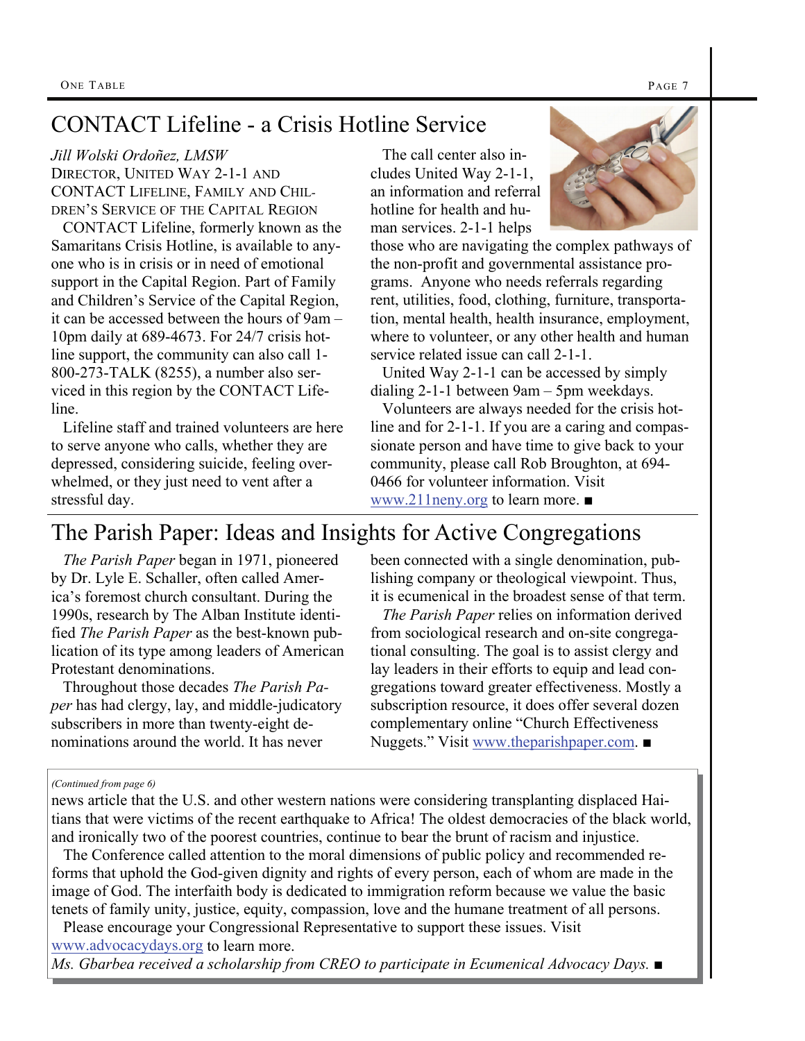# CONTACT Lifeline - a Crisis Hotline Service

*Jill Wolski Ordoñez, LMSW*  DIRECTOR, UNITED WAY 2-1-1 AND CONTACT LIFELINE, FAMILY AND CHIL-DREN'S SERVICE OF THE CAPITAL REGION

 CONTACT Lifeline, formerly known as the Samaritans Crisis Hotline, is available to anyone who is in crisis or in need of emotional support in the Capital Region. Part of Family and Children's Service of the Capital Region, it can be accessed between the hours of 9am – 10pm daily at 689-4673. For 24/7 crisis hotline support, the community can also call 1- 800-273-TALK (8255), a number also serviced in this region by the CONTACT Lifeline.

 Lifeline staff and trained volunteers are here to serve anyone who calls, whether they are depressed, considering suicide, feeling overwhelmed, or they just need to vent after a stressful day.

 The call center also includes United Way 2-1-1, an information and referral hotline for health and human services. 2-1-1 helps



those who are navigating the complex pathways of the non-profit and governmental assistance programs. Anyone who needs referrals regarding rent, utilities, food, clothing, furniture, transportation, mental health, health insurance, employment, where to volunteer, or any other health and human service related issue can call 2-1-1.

 United Way 2-1-1 can be accessed by simply dialing 2-1-1 between 9am – 5pm weekdays.

 Volunteers are always needed for the crisis hotline and for 2-1-1. If you are a caring and compassionate person and have time to give back to your community, please call Rob Broughton, at 694- 0466 for volunteer information. Visit [www.211neny.org](http://www.alz.org/northeasternny) to learn more. ■

# The Parish Paper: Ideas and Insights for Active Congregations

 *The Parish Paper* began in 1971, pioneered by Dr. Lyle E. Schaller, often called America's foremost church consultant. During the 1990s, research by The Alban Institute identified *The Parish Paper* as the best-known publication of its type among leaders of American Protestant denominations.

 Throughout those decades *The Parish Paper* has had clergy, lay, and middle-judicatory subscribers in more than twenty-eight denominations around the world. It has never

been connected with a single denomination, publishing company or theological viewpoint. Thus, it is ecumenical in the broadest sense of that term.

 *The Parish Paper* relies on information derived from sociological research and on-site congregational consulting. The goal is to assist clergy and lay leaders in their efforts to equip and lead congregations toward greater effectiveness. Mostly a subscription resource, it does offer several dozen complementary online "Church Effectiveness Nuggets." Visit [www.theparishpaper.com](http://www.theparishpaper.com). ■

### *(Continued from page 6)*

news article that the U.S. and other western nations were considering transplanting displaced Haitians that were victims of the recent earthquake to Africa! The oldest democracies of the black world, and ironically two of the poorest countries, continue to bear the brunt of racism and injustice.

 The Conference called attention to the moral dimensions of public policy and recommended reforms that uphold the God-given dignity and rights of every person, each of whom are made in the image of God. The interfaith body is dedicated to immigration reform because we value the basic tenets of family unity, justice, equity, compassion, love and the humane treatment of all persons.

 Please encourage your Congressional Representative to support these issues. Visit [www.advocacydays.org](http://www.advocacydays.org) to learn more.

*Ms. Gbarbea received a scholarship from CREO to participate in Ecumenical Advocacy Days.* ■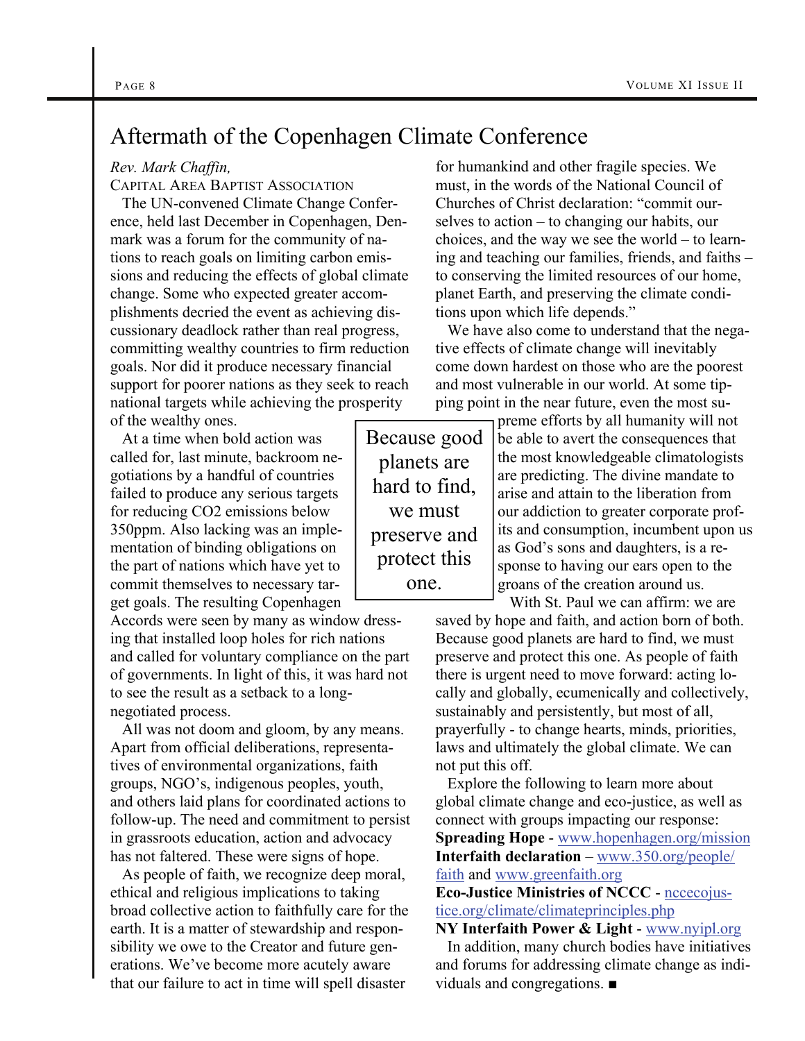### Aftermath of the Copenhagen Climate Conference

### *Rev. Mark Chaffin,*

CAPITAL AREA BAPTIST ASSOCIATION

 The UN-convened Climate Change Conference, held last December in Copenhagen, Denmark was a forum for the community of nations to reach goals on limiting carbon emissions and reducing the effects of global climate change. Some who expected greater accomplishments decried the event as achieving discussionary deadlock rather than real progress, committing wealthy countries to firm reduction goals. Nor did it produce necessary financial support for poorer nations as they seek to reach national targets while achieving the prosperity of the wealthy ones.

 At a time when bold action was called for, last minute, backroom negotiations by a handful of countries failed to produce any serious targets for reducing CO2 emissions below 350ppm. Also lacking was an implementation of binding obligations on the part of nations which have yet to commit themselves to necessary target goals. The resulting Copenhagen

Accords were seen by many as window dressing that installed loop holes for rich nations and called for voluntary compliance on the part of governments. In light of this, it was hard not to see the result as a setback to a longnegotiated process.

 All was not doom and gloom, by any means. Apart from official deliberations, representatives of environmental organizations, faith groups, NGO's, indigenous peoples, youth, and others laid plans for coordinated actions to follow-up. The need and commitment to persist in grassroots education, action and advocacy has not faltered. These were signs of hope.

 As people of faith, we recognize deep moral, ethical and religious implications to taking broad collective action to faithfully care for the earth. It is a matter of stewardship and responsibility we owe to the Creator and future generations. We've become more acutely aware that our failure to act in time will spell disaster

for humankind and other fragile species. We must, in the words of the National Council of Churches of Christ declaration: "commit ourselves to action – to changing our habits, our choices, and the way we see the world – to learning and teaching our families, friends, and faiths – to conserving the limited resources of our home, planet Earth, and preserving the climate conditions upon which life depends."

 We have also come to understand that the negative effects of climate change will inevitably come down hardest on those who are the poorest and most vulnerable in our world. At some tipping point in the near future, even the most su-

Because good planets are hard to find, we must preserve and protect this one.

preme efforts by all humanity will not be able to avert the consequences that the most knowledgeable climatologists are predicting. The divine mandate to arise and attain to the liberation from our addiction to greater corporate profits and consumption, incumbent upon us as God's sons and daughters, is a response to having our ears open to the groans of the creation around us.

 With St. Paul we can affirm: we are saved by hope and faith, and action born of both. Because good planets are hard to find, we must preserve and protect this one. As people of faith there is urgent need to move forward: acting locally and globally, ecumenically and collectively, sustainably and persistently, but most of all, prayerfully - to change hearts, minds, priorities, laws and ultimately the global climate. We can not put this off.

 Explore the following to learn more about global climate change and eco-justice, as well as connect with groups impacting our response: **Spreading Hope** - [www.hopenhagen.org/mission](http://www.hopenhagen.org/mission) **Interfaith declaration** – [www.350.org/people/](http://www.350.org/people/faith) [faith](http://www.350.org/people/faith) and [www.greenfaith.org](http://www.greenfaith.org)

**Eco-Justice Ministries of NCCC** - [nccecojus](http://nccecojustice.org/climate/climateprinciples.php)[tice.org/climate/climateprinciples.php](http://nccecojustice.org/climate/climateprinciples.php)

**NY Interfaith Power & Light** - [www.nyipl.org](http://www.nyipl.org)

 In addition, many church bodies have initiatives and forums for addressing climate change as individuals and congregations. ■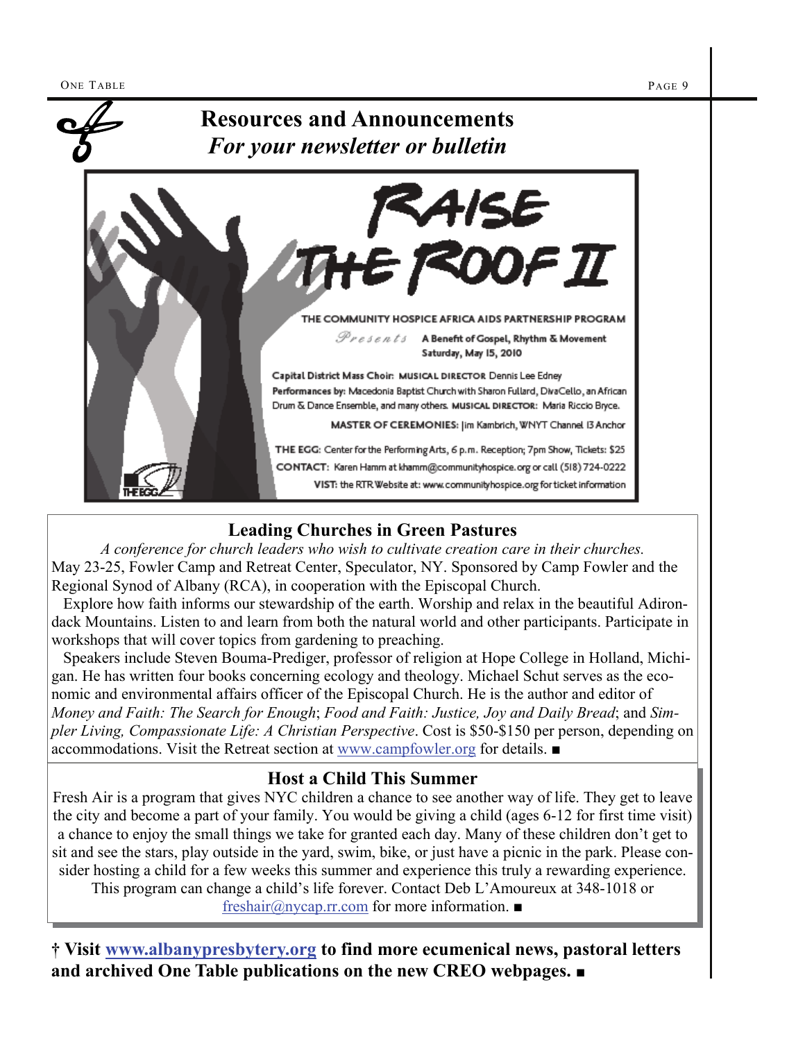

### **Leading Churches in Green Pastures**

*A conference for church leaders who wish to cultivate creation care in their churches.* May 23-25, Fowler Camp and Retreat Center, Speculator, NY. Sponsored by Camp Fowler and the Regional Synod of Albany (RCA), in cooperation with the Episcopal Church.

 Explore how faith informs our stewardship of the earth. Worship and relax in the beautiful Adirondack Mountains. Listen to and learn from both the natural world and other participants. Participate in workshops that will cover topics from gardening to preaching.

 Speakers include Steven Bouma-Prediger, professor of religion at Hope College in Holland, Michigan. He has written four books concerning ecology and theology. Michael Schut serves as the economic and environmental affairs officer of the Episcopal Church. He is the author and editor of *Money and Faith: The Search for Enough*; *Food and Faith: Justice, Joy and Daily Bread*; and *Simpler Living, Compassionate Life: A Christian Perspective*. Cost is \$50-\$150 per person, depending on accommodations. Visit the Retreat section at [www.campfowler.org](http://www.campfowler.org) for details. ■

### **Host a Child This Summer**

Fresh Air is a program that gives NYC children a chance to see another way of life. They get to leave the city and become a part of your family. You would be giving a child (ages 6-12 for first time visit) a chance to enjoy the small things we take for granted each day. Many of these children don't get to sit and see the stars, play outside in the yard, swim, bike, or just have a picnic in the park. Please consider hosting a child for a few weeks this summer and experience this truly a rewarding experience. This program can change a child's life forever. Contact Deb L'Amoureux at 348-1018 or

[freshair@nycap.rr.com](mailto:freshair@nycap.rr.com) for more information. ■

**† Visit [www.albanypresbytery.org](http://www.albanypresbytery.org/one_table_newsletter.html) to find more ecumenical news, pastoral letters and archived One Table publications on the new CREO webpages.** ■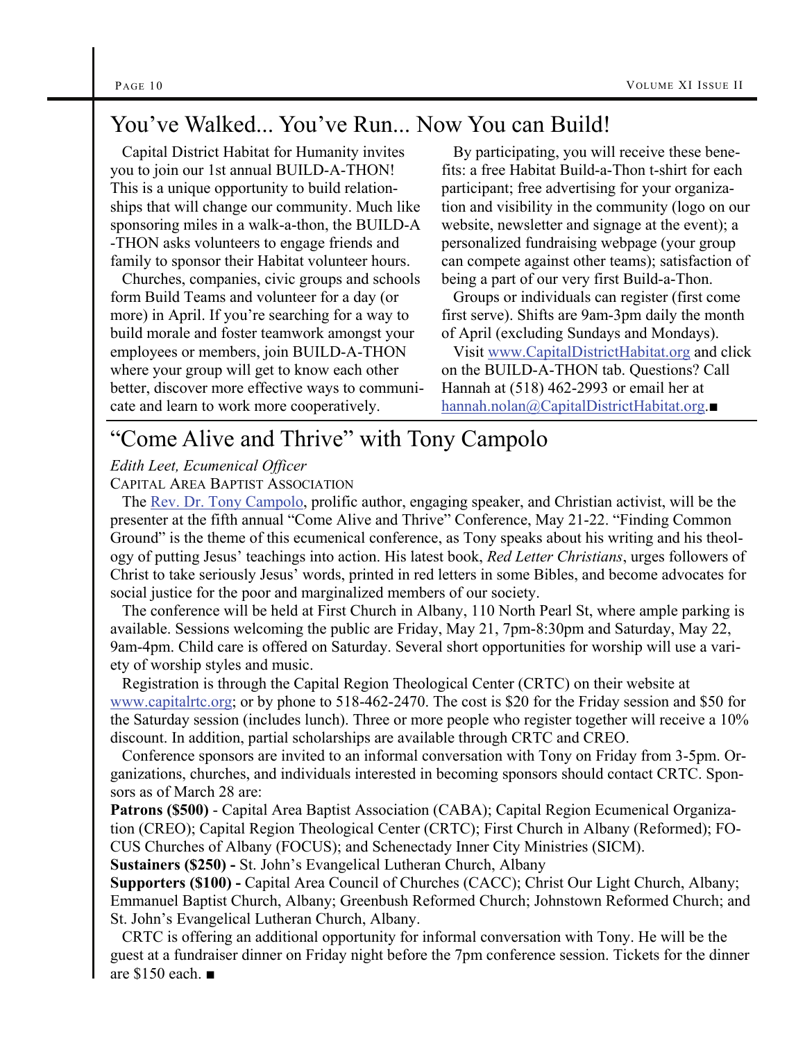# You've Walked... You've Run... Now You can Build!

 Capital District Habitat for Humanity invites you to join our 1st annual BUILD-A-THON! This is a unique opportunity to build relationships that will change our community. Much like sponsoring miles in a walk-a-thon, the BUILD-A -THON asks volunteers to engage friends and family to sponsor their Habitat volunteer hours.

 Churches, companies, civic groups and schools form Build Teams and volunteer for a day (or more) in April. If you're searching for a way to build morale and foster teamwork amongst your employees or members, join BUILD-A-THON where your group will get to know each other better, discover more effective ways to communicate and learn to work more cooperatively.

 By participating, you will receive these benefits: a free Habitat Build-a-Thon t-shirt for each participant; free advertising for your organization and visibility in the community (logo on our website, newsletter and signage at the event); a personalized fundraising webpage (your group can compete against other teams); satisfaction of being a part of our very first Build-a-Thon.

 Groups or individuals can register (first come first serve). Shifts are 9am-3pm daily the month of April (excluding Sundays and Mondays).

 Visit [www.CapitalDistrictHabitat.org](http://www.CapitalDistrictHabitat.org) and click on the BUILD-A-THON tab. Questions? Call Hannah at (518) 462-2993 or email her at [hannah.nolan@CapitalDistrictHabitat.org](mailto:hannah.nolan@CapitalDistrictHabitat.org).■

### "Come Alive and Thrive" with Tony Campolo

### *Edith Leet, Ecumenical Officer*

CAPITAL AREA BAPTIST ASSOCIATION

 The [Rev. Dr. Tony Campolo](http://www.tonycampolo.org/), prolific author, engaging speaker, and Christian activist, will be the presenter at the fifth annual "Come Alive and Thrive" Conference, May 21-22. "Finding Common Ground" is the theme of this ecumenical conference, as Tony speaks about his writing and his theology of putting Jesus' teachings into action. His latest book, *Red Letter Christians*, urges followers of Christ to take seriously Jesus' words, printed in red letters in some Bibles, and become advocates for social justice for the poor and marginalized members of our society.

 The conference will be held at First Church in Albany, 110 North Pearl St, where ample parking is available. Sessions welcoming the public are Friday, May 21, 7pm-8:30pm and Saturday, May 22, 9am-4pm. Child care is offered on Saturday. Several short opportunities for worship will use a variety of worship styles and music.

 Registration is through the Capital Region Theological Center (CRTC) on their website at [www.capitalrtc.org](http://www.capitalrtc.org); or by phone to 518-462-2470. The cost is \$20 for the Friday session and \$50 for the Saturday session (includes lunch). Three or more people who register together will receive a 10% discount. In addition, partial scholarships are available through CRTC and CREO.

 Conference sponsors are invited to an informal conversation with Tony on Friday from 3-5pm. Organizations, churches, and individuals interested in becoming sponsors should contact CRTC. Sponsors as of March 28 are:

**Patrons (\$500)** - Capital Area Baptist Association (CABA); Capital Region Ecumenical Organization (CREO); Capital Region Theological Center (CRTC); First Church in Albany (Reformed); FO-CUS Churches of Albany (FOCUS); and Schenectady Inner City Ministries (SICM).

**Sustainers (\$250) -** St. John's Evangelical Lutheran Church, Albany

**Supporters (\$100) -** Capital Area Council of Churches (CACC); Christ Our Light Church, Albany; Emmanuel Baptist Church, Albany; Greenbush Reformed Church; Johnstown Reformed Church; and St. John's Evangelical Lutheran Church, Albany.

 CRTC is offering an additional opportunity for informal conversation with Tony. He will be the guest at a fundraiser dinner on Friday night before the 7pm conference session. Tickets for the dinner are \$150 each. ■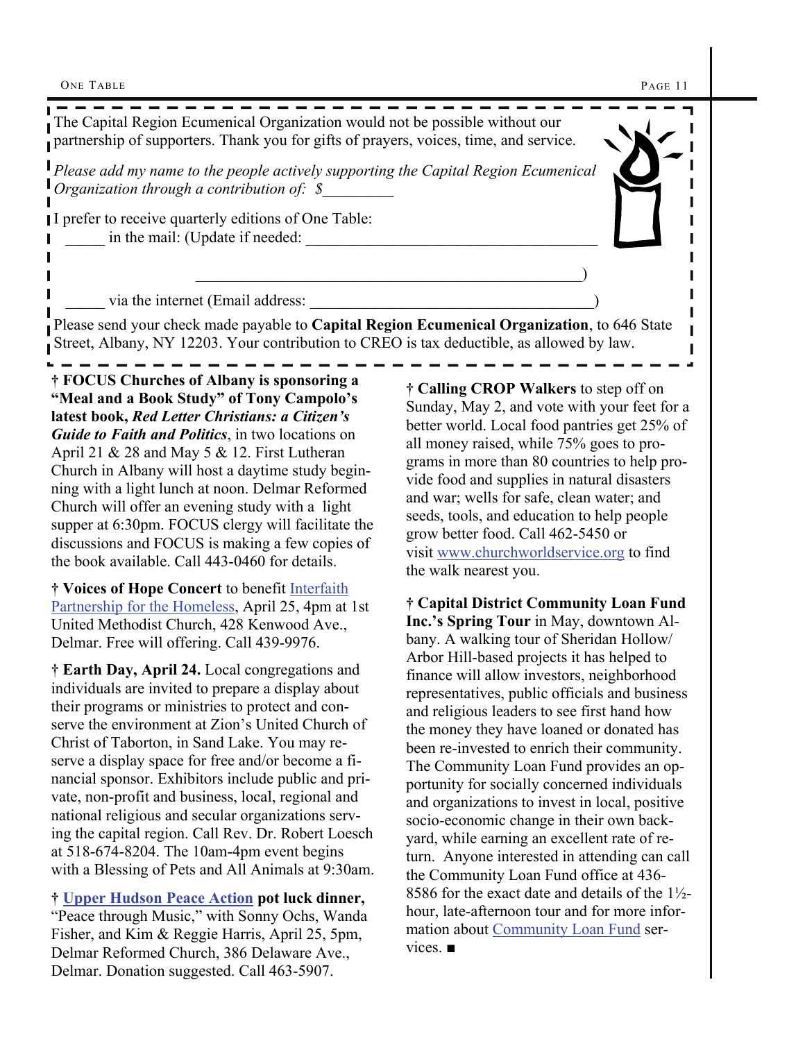ONE TABLE PAGE 11

---------------------------The Capital Region Ecumenical Organization would not be possible without our partnership of supporters. Thank you for gifts of prayers, voices, time, and service. *Please add my name to the people actively supporting the Capital Region Ecumenical Organization through a contribution of:* \$ Г I prefer to receive quarterly editions of One Table: in the mail: (Update if needed: I  $\qquad \qquad \qquad \qquad \qquad \qquad \qquad \qquad \qquad \qquad \qquad$ via the internet (Email address: Please send your check made payable to **Capital Region Ecumenical Organization**, to 646 State Street, Albany, NY 12203. Your contribution to CREO is tax deductible, as allowed by law.

**† FOCUS Churches of Albany is sponsoring a "Meal and a Book Study" of Tony Campolo's latest book,** *Red Letter Christians: a Citizen's Guide to Faith and Politics*, in two locations on April 21 & 28 and May 5 & 12. First Lutheran Church in Albany will host a daytime study beginning with a light lunch at noon. Delmar Reformed Church will offer an evening study with a light supper at 6:30pm. FOCUS clergy will facilitate the discussions and FOCUS is making a few copies of the book available. Call 443-0460 for details.

**† Voices of Hope Concert** to benefit [Interfaith](http://interfaithpartnership.com/)  [Partnership for the Homeless](http://interfaithpartnership.com/), April 25, 4pm at 1st United Methodist Church, 428 Kenwood Ave., Delmar. Free will offering. Call 439-9976.

**† Earth Day, April 24.** Local congregations and individuals are invited to prepare a display about their programs or ministries to protect and conserve the environment at Zion's United Church of Christ of Taborton, in Sand Lake. You may reserve a display space for free and/or become a financial sponsor. Exhibitors include public and private, non-profit and business, local, regional and national religious and secular organizations serving the capital region. Call Rev. Dr. Robert Loesch at 518-674-8204. The 10am-4pm event begins with a Blessing of Pets and All Animals at 9:30am.

**† [Upper Hudson Peace Action](http://peaceact.net/) pot luck dinner,** "Peace through Music," with Sonny Ochs, Wanda Fisher, and Kim & Reggie Harris, April 25, 5pm, Delmar Reformed Church, 386 Delaware Ave., Delmar. Donation suggested. Call 463-5907.

**† Calling CROP Walkers** to step off on Sunday, May 2, and vote with your feet for a better world. Local food pantries get 25% of all money raised, while 75% goes to programs in more than 80 countries to help provide food and supplies in natural disasters and war; wells for safe, clean water; and seeds, tools, and education to help people grow better food. Call 462-5450 or visit [www.churchworldservice.org](http://www.churchworldservice.org) to find the walk nearest you.

**† Capital District Community Loan Fund Inc.'s Spring Tour** in May, downtown Albany. A walking tour of Sheridan Hollow/ Arbor Hill-based projects it has helped to finance will allow investors, neighborhood representatives, public officials and business and religious leaders to see first hand how the money they have loaned or donated has been re-invested to enrich their community. The Community Loan Fund provides an opportunity for socially concerned individuals and organizations to invest in local, positive socio-economic change in their own backyard, while earning an excellent rate of return. Anyone interested in attending can call the Community Loan Fund office at 436- 8586 for the exact date and details of the  $1\frac{1}{2}$ hour, late-afternoon tour and for more information about [Community Loan Fund](http://www.cdclf.org/) services. ■